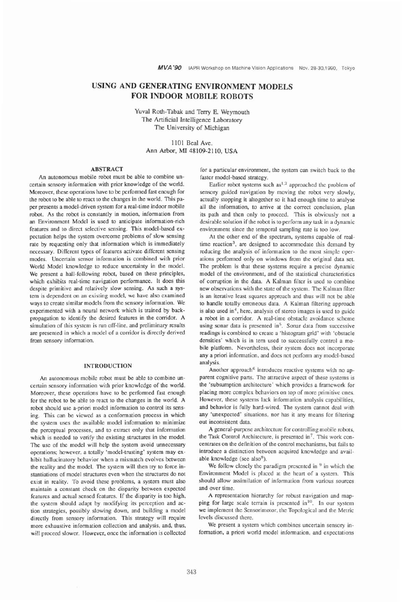# **USING AND GENERATING ENVIRONMENT MODELS FOR INDOOR MOBILE ROBOTS**

Yuval Roth-Tabak and Terry E. Weymouth The Artificial Intelligence Laboratory The University of Michigan

> 1 101 Bed Ave. Ann Arbor, MI 48109-21 10, USA

## ABSTRACT

An autonomous mobile robot must be able to combine uncertain sensory information with prior knowledge of the world. Moreover, these operations have to be performed fast enough for the robot to be able to react to the changes in the world. This paper presents a model-driven system for a real-time indoor mobile robot. As the robot is constantly in motion. information from an Environment Model is used to anticipate information-rich features and to direct selective sensing. This model-based expectation helps the system overcome problems of slow sensing rate by requesting only that information which is immediately necessary. Different types of features activate different sensing modes. Uncertain sensor information is combined with prior World Model knowledge to reduce uncertainty in the model. We present a hall-following robot, based on these principles, which exhibits real-time navigation performance. It does this despite primitive and relatively slow sensing. As such a system is dcpendcnt on an existing model, we have also examined ways to create similar models from the sensory information. We experimented with a neural network which is trained by backpropagation to identify the desired features in the corridor. A simulation of this system is run off-line, and preliminary results are presented in which a model of a corridor is directly derived from sensory information.

#### INTRODUCTION

An autonomous mobile robot must be able to combine uncertain sensory information with prior knowledge of the world. Moreover, these operations have to be performed fast enough for the robot to **be** able to react to the changes in the world. A robot should use a-priori model information to control its sensing. This can be viewed as a conformation process in which the system uses the available model information to minimize the perceptual processes, and to extract only that information which is needed to verify the existing structures in the model. The use of the model will help the system avoid unnecessary operations; however, a totally 'model-trusting' system may exhibit hallucinatory behavior when a mismatch evolves between the reality and the model. The system will then try to force instantiations of model structures even when the structures do not exist in reality. To avoid these problems, a system must also maintain a constant check on the disparity between expected features and actual sensed features. If the disparity is too high. the system should adapt by modifying its perception and action strategies, possibly slowing down, and building a model directly from sensory information. This strategy will require more exhaustive information collection and analysis. and, thus, will proceed slower. However, once the information is collected for a particular environment, the system can switch back to the faster model-based strategy.

Earlier robot systems such  $as^{1,2}$  approached the problem of sensory guided navigation by moving the robot very slowly. actually stopping it altogether so it had enough time to analyse all the information, to arrive at the correct conclusion, plan its path and then only to proceed. This is obviously not a desirable solution if the robot is to perform any task in a dynamic environment since the temporal sampling rate is too low.

At the other end of the spectrum, systems capable of realtime reaction<sup>3</sup>, are designed to accommodate this demand by reducing the analysis of information to the most simple operations performed only on windows from the original data set. The problem is that these systems require a precise dynamic model of the environment. and of the statistical characteristics of corruption in the data. A Kalman filter is used to combine new observations with the state of the system. The Kalman filter is an iterative least squares approach and thus will not be able to handle totally erroneous data. A Kalman filtering approach is also used  $in<sup>4</sup>$ , here, analysis of stereo images is used to guide a robot in a corridor. A real-time obstacle avoidance scheme using sonar data is presented in<sup>5</sup>. Sonar data from successive readings is combined to create a 'histogram grid' with 'obstacle densities' which is in tern used to successfully control a mobile platform. Neverlheless, their system does not incorporate any a priori information, and does not perform any model-based analysis.

Another approach<sup>6</sup> introduces reactive systems with no apparent cognitive parts. The attractive aspect of these systems is the 'subsumption architecture' which provides a framework for placing more complex behaviors on top of more primitive ones. However, these systems lack information analysis capabilities, and behavior is fully hard-wired. The system cannot deal with any 'unexpected' situations, nor has it any means for filtering out inconsistent data.

A general-purpose architecture for controlling mobile robots. the Task Control Architecture, is presented in<sup>7</sup>. This work concentrates on the definition of the control mechanisms, but fails to introduce a distinction between acquired knowledge and available knowledge (see  $also<sup>8</sup>$ ).

We follow closely the paradigm presented in  $\frac{9}{2}$  in which the Environment Model is placed at the heart of a system. This should allow assimilation of information from various sources and over time.

A representation hierarchy for robust navigation and mapping for large scale terrain is presented in<sup>10</sup>. In our system we implement the Sensorimotor, the Topological and the Metric levels discussed there.

We present a system which combines uncertain sensory information, a priori world model information, and expectations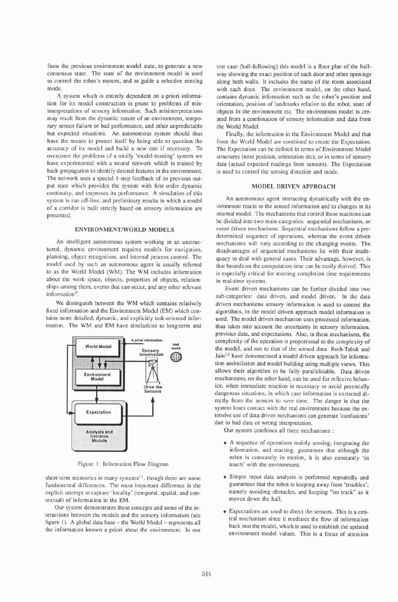from the previous environment model state, to generate a new consensus state. The state of the environment model is used to control the robot's motors, and to guide a selective sensing mode.

A system which is entirely dependent on a-priori information for its modcl construction is prune to problems of misinterpretations of sensory information. Such misinterpretations may result from the dynamic nature of an environment, temporary sensor failure or bad performance, and other unpredictable but expectcd situations. An autonomous system should thus have the means to protect itself by being able to question the accuracy of its model and build a new one if necessary. To overcome the problcms of a totally 'modcl-trusting' system we have cxperimcntcd with a neural network which is trained by back-propagation to identify desired features in the environment. The network uses a special 1-step feedback of its previous output state which providcs the system with first ordcr dynamic continuity, and improves its pcrformance. **A** simulation of this systcm is run off-line, and preliminary results in which a model of a corridor is built strictly based on sensory information are prcsentcd.

#### **ENVIRONMENTIWORLD MODELS**

An intelligent autonomous system working in an unstructured, dynamic environment requires models for navigation, planning, object recognition, and internal process control. The model uscd by such an autonomous agent is usually referred to as the World Modcl (WM). The WM includes information about the work space, objects, properties of objects, relationships among them, evcnts that can occur, and any other relevant information<sup>9</sup>.

We distinguish between the WM which contains relatively fixed information and the Environmcnt Model (EM) which contains more detailed, dynamic, and explicitly task-oricnted information. The WM and EM have similarities to long-term and



Figure **1:** Information Flow Diagram

short-term memories in many systems<sup>11</sup>, though there are some fundamental differences. The most important difference is the explicit attempt to capture 'locality' (temporal, spatial, and contextual) of information in the EM.

Our system demonstrates these concepts and some of the interactions between the models and the sensory information (see figure 1). A global data base - the World Model - represents all the information known a priori about the environment. In our

test case (hall-following) this model is a floor plan of the hallway showing the exact position of each door and other openings along both walls. It includes the name of the room associated with each door. The environment modcl, on the other hand, contains dynamic information such as the robot's position and orientation, position of landmarks relative to the robot, state of objects in the environment etc. The environment model is created from a combination of scnsory information and data from the World Model.

Finally, the information in the Environment Model and that from the World Model are combined to create the Expectation. The Expcctation can be defincd in terms of Environmcnt Modcl structures (next position, orientation ctc), or in tcrms of scnsory data (actual expected readings from sensors). The Expcctation is used to control the sensing direction and modc.

#### **MODEL DRIVEN APPROACH**

An autonomous agent interacting dynamically with the cnvironment reacts to the sensed information and to changes in its internal model. The mechanisms that control these reactions can be dividcd into two main categories: sequential mechanisms, or event drivcn mechanisms. Scqucntial mechanisms follow a predetermined sequence of operations, whereas the event driven mechanisms will vary according to the changing events. The disadvantages of scqucntial mechanisms lie with their inadequacy to deal with general cases. Their advantage, however, is that bounds on the computation time can be easily derived. This is especially critical for meeting completion time requirements in real-time systems.

Event drivcn mechanisms can be further dividcd into two sub-categories: data driven, and model driven. In the data driven mechanisms sensory information is used to control the algorithms, in the model driven approach model information is used. The modcl driven mechanism uses processed information. thus takes into account the uncenainty in sensory information, previous data. and expectations. Also, in these mechanisms, the complexity of the operation is proportional to the complexity of the model, and not to that of the sensed data. Roth-Tabak and Jain<sup>12</sup> have demonstrated a model driven approach for information assimilation and modcl building using multiple views. This allows their algorithm to be fully parallelizable. Data driven mechanisms, on the other hand, can be used for reflexive behavior, when immediate reaction is nccessary to avoid potentially dangerous situations, in which case information is extracted directly from the sensors to save time. The danger is that the system loses contact with the real environment because the extensive use of data driven mechanisms can generate 'confusions' due to bad data or wrong interpretation.

Our system combines all three mechanisms :

- A sequence of operations mainly sensing, integrating the information, and reacting, guarantees that although the robot is constantly in motion, it is also constantly 'in touch' with the environment.
- **l** Simple input data analysis is performed repeatedly and guarantces that the robot is keeping away from 'troubles', namely avoiding obstacles, and kecping "on track" as it moves down the hall.
- **l** Expectations are used to direct the scnsors. This is a central mechanism since it mediates the flow of information back into the modcl, which is used to establish the updated environment modcl values. This is a focus of attention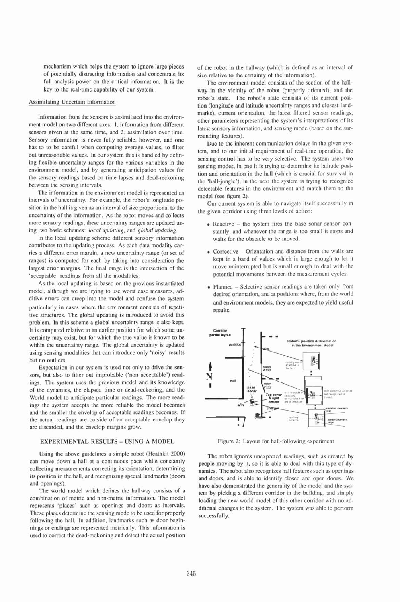mechanism which helps the system to ignore large pieces of potentially distracting information and concentrate its full analysis power on the critical information. It is the key to the real-time capability of our system.

#### Assimilatine Uncertain Information

Information from the sensors is assimilated into the environment modcl on two different axes: 1. information from different sensors given at the same time, and 2. assimilation over time. Sensory information is never fully reliable, however, and one has to to **be** careful when computing average values, to filter out unreasonable values. In our system this is handled by defining flexible uncertainty ranges for the various variables in the environment model, and by generating anticipation values for the sensory readings based on time lapses and dead-reckoning between the sensing intervals.

The information in the environment model is represented as intervals of uncertainty. For example, the robot's longitude position in the hall is given as an interval of size proportional to the uncertainty of the information. As the robot moves and collects more sensory readings, these uncertainty ranges are updated using two basic schemes: *local updating,* and *global updating.* 

In the local updating scheme different sensory information contributes to the updating process. As each data modality carries a different error margin, a new uncertainty range (or set of ranges) is computed for each by taking into consideration the largest error margins. The final range is the intersection of the 'acceptable' readings from all the modalities.

As the local updating is based on the previous instantiated model, although we are trying to use worst case measures, additive errors can creep into the model and confuse the system particularly in cases where the environment consists of repetitive structures. The global updating is introduced to avoid this problem. In this scheme a global uncertainty range is also kept. It is computed relative to an earlier position for which some uncertainty may exist, but for which the true value is known to be within the uncertainty range. The global uncertainty is updated using sensing modalities that can introduce only 'noisy' results but no outliers.

Expectation in our system is used not only to drive the sensors, but also to filter out improbable ('non acceptable') readings. The system uses the previous model and its knowledge of the dynamics, the elapsed time or dead-reckoning, and the World model to anticipate particular readings. The more readings the system accepts the more reliable the model becomes and the smaller the envelop of acceptable readings becomes. If the actual readings are outside of an acceptable envelop they are discarded, and the envelop margins grow.

## **EXPERIMENTAL RESULTS** - **USING A MODEL**

Using the above guidelines a simple robot (Heathkit 2000) can move down a hall at a continuous pace while constantly collecting measurements correcting its orientation, determining its position in the hall, and recognizing special landmarks (doors and openings).

The world model which defines the hallway consists of a combination of metric and non-metric information. The model represents 'places' such as opcnings and doors as intervals. These places determine the sensing mode to be used for properly following the hall. In addition, landmarks such as door beginnings or endings are represented metrically. This information is used to correct the dead-reckoning and detect the actual position of the robot in the hallway (which is defined as an interval of size relative to the certainty of the information).

The environment model consists of the section of the hallway in the vicinity of the robot (properly oriented), and the robot's state. The robot's state consists of its currcnt position (longitude and latitude uncertainty ranges and closest landmarks), current orientation, the latest filtered sensor readings, other parameters representing the system's intcrprctations of its latest sensory information, and sensing mode (based on the surrounding features).

Due to the inherent communication delays in the given system, and to our initial requirement of real-time operation, the sensing control has to be very selective. The system uses two sensing modes, in one it is trying to determine its latitude position and orientation in the hall (which is crucial for survival in the 'hall-jungle'), in the next the systcm is trying to recognize detectable features in the environment and match them to the model (see figure 2).

Our current system is able to navigate itself successfully in the given conidor using three levels of action:

- Reactive the system fires the base sonar sensor constantly, and whenever the range is too small it stops and waits for the obstacle to be moved.
- Corrective Orientation and distance from the walls are kept in a band of values which is large enough to let it move uninterrupted but is small enough to dcal with the potential movements between the measurement cycles.
- Planned Selective sensor readings arc taken only from desired orientation, and at positions whcre, from the world and environment models, they are expected to yield useful results.



Figure 2: Layout for hall-following experiment

The robot ignores uncxpccted readings, such as created by people moving by it, so it is ablc to dcal with this type of dynamics. The robot also recognizes hall features such as openings and doors, and is able to identify closed and open doors. We have also demonstrated the generality of the model and the system by picking a different corridor in the building, and simply loading the new world model of this other corridor with no additional changes to the system. The system was able to perform successfully.